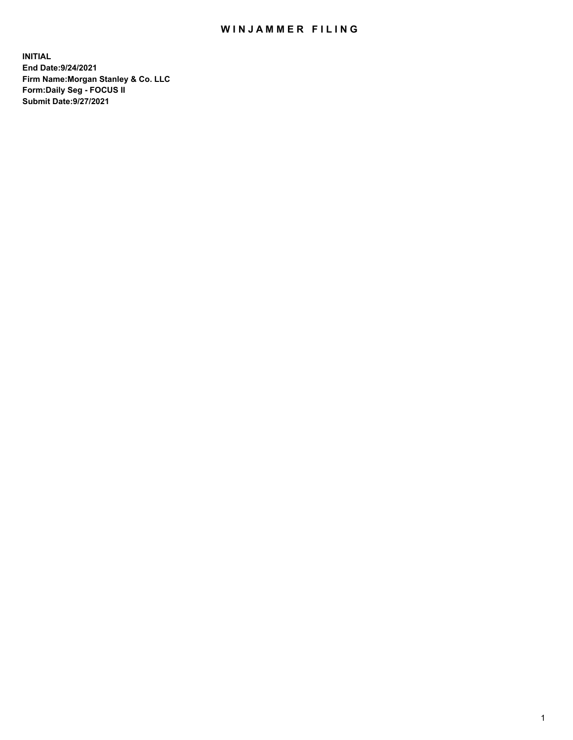## WIN JAMMER FILING

**INITIAL End Date:9/24/2021 Firm Name:Morgan Stanley & Co. LLC Form:Daily Seg - FOCUS II Submit Date:9/27/2021**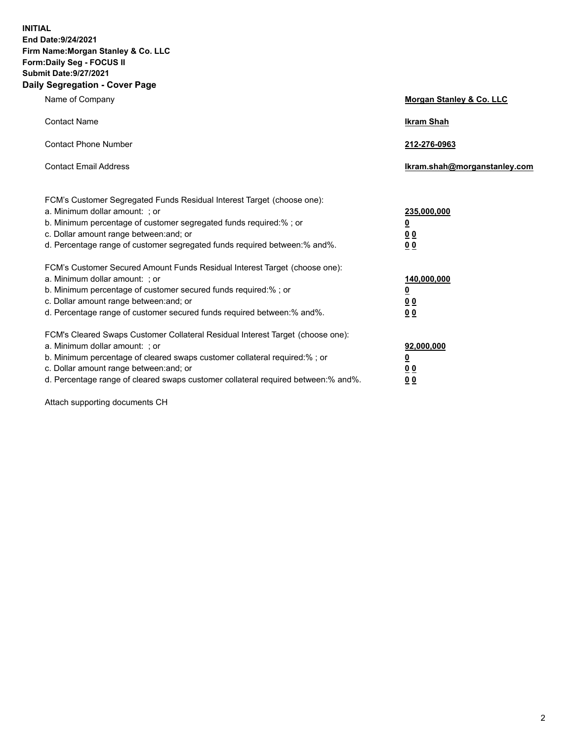**INITIAL End Date:9/24/2021 Firm Name:Morgan Stanley & Co. LLC Form:Daily Seg - FOCUS II Submit Date:9/27/2021 Daily Segregation - Cover Page**

| Name of Company                                                                                                                                                                                                                                                                                                                | Morgan Stanley & Co. LLC                                |
|--------------------------------------------------------------------------------------------------------------------------------------------------------------------------------------------------------------------------------------------------------------------------------------------------------------------------------|---------------------------------------------------------|
| <b>Contact Name</b>                                                                                                                                                                                                                                                                                                            | <b>Ikram Shah</b>                                       |
| <b>Contact Phone Number</b>                                                                                                                                                                                                                                                                                                    | 212-276-0963                                            |
| <b>Contact Email Address</b>                                                                                                                                                                                                                                                                                                   | Ikram.shah@morganstanley.com                            |
| FCM's Customer Segregated Funds Residual Interest Target (choose one):<br>a. Minimum dollar amount: ; or<br>b. Minimum percentage of customer segregated funds required:% ; or<br>c. Dollar amount range between: and; or<br>d. Percentage range of customer segregated funds required between:% and%.                         | 235,000,000<br><u>0</u><br><u>00</u><br><u>00</u>       |
| FCM's Customer Secured Amount Funds Residual Interest Target (choose one):<br>a. Minimum dollar amount: ; or<br>b. Minimum percentage of customer secured funds required:%; or<br>c. Dollar amount range between: and; or<br>d. Percentage range of customer secured funds required between:% and%.                            | 140,000,000<br><u>0</u><br><u>0 0</u><br>0 <sub>0</sub> |
| FCM's Cleared Swaps Customer Collateral Residual Interest Target (choose one):<br>a. Minimum dollar amount: ; or<br>b. Minimum percentage of cleared swaps customer collateral required:% ; or<br>c. Dollar amount range between: and; or<br>d. Percentage range of cleared swaps customer collateral required between:% and%. | 92,000,000<br><u>0</u><br><u>00</u><br>00               |

Attach supporting documents CH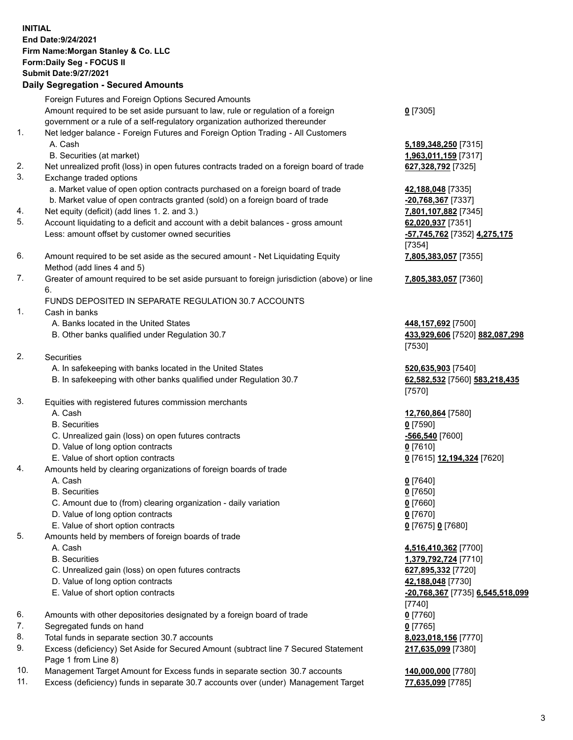## **INITIAL End Date:9/24/2021 Firm Name:Morgan Stanley & Co. LLC Form:Daily Seg - FOCUS II Submit Date:9/27/2021**

## **Daily Segregation - Secured Amounts**

Foreign Futures and Foreign Options Secured Amounts Amount required to be set aside pursuant to law, rule or regulation of a foreign government or a rule of a self-regulatory organization authorized thereunder 1. Net ledger balance - Foreign Futures and Foreign Option Trading - All Customers A. Cash **5,189,348,250** [7315] B. Securities (at market) **1,963,011,159** [7317] 2. Net unrealized profit (loss) in open futures contracts traded on a foreign board of trade **627,328,792** [7325] 3. Exchange traded options a. Market value of open option contracts purchased on a foreign board of trade **42,188,048** [7335] b. Market value of open contracts granted (sold) on a foreign board of trade **-20,768,367** [7337] 4. Net equity (deficit) (add lines 1. 2. and 3.) **7,801,107,882** [7345] 5. Account liquidating to a deficit and account with a debit balances - gross amount **62,020,937** [7351] Less: amount offset by customer owned securities **-57,745,762** [7352] **4,275,175** 6. Amount required to be set aside as the secured amount - Net Liquidating Equity Method (add lines 4 and 5) 7. Greater of amount required to be set aside pursuant to foreign jurisdiction (above) or line 6. FUNDS DEPOSITED IN SEPARATE REGULATION 30.7 ACCOUNTS 1. Cash in banks A. Banks located in the United States **448,157,692** [7500] B. Other banks qualified under Regulation 30.7 **433,929,606** [7520] **882,087,298** 2. Securities A. In safekeeping with banks located in the United States **520,635,903** [7540] B. In safekeeping with other banks qualified under Regulation 30.7 **62,582,532** [7560] **583,218,435**

- 3. Equities with registered futures commission merchants
	-
	- B. Securities **0** [7590]
	- C. Unrealized gain (loss) on open futures contracts **-566,540** [7600]
	- D. Value of long option contracts **0** [7610]
	- E. Value of short option contracts **0** [7615] **12,194,324** [7620]
- 4. Amounts held by clearing organizations of foreign boards of trade
	- A. Cash **0** [7640]
	- B. Securities **0** [7650]
	- C. Amount due to (from) clearing organization daily variation **0** [7660]
	- D. Value of long option contracts **0** [7670]
	- E. Value of short option contracts **0** [7675] **0** [7680]
- 5. Amounts held by members of foreign boards of trade
	-
	-
	- C. Unrealized gain (loss) on open futures contracts **627,895,332** [7720]
	- D. Value of long option contracts **42,188,048** [7730]
	- E. Value of short option contracts **-20,768,367** [7735] **6,545,518,099**
- 6. Amounts with other depositories designated by a foreign board of trade **0** [7760]
- 7. Segregated funds on hand **0** [7765]
- 8. Total funds in separate section 30.7 accounts **8,023,018,156** [7770]
- 9. Excess (deficiency) Set Aside for Secured Amount (subtract line 7 Secured Statement Page 1 from Line 8)
- 10. Management Target Amount for Excess funds in separate section 30.7 accounts **140,000,000** [7780]
- 11. Excess (deficiency) funds in separate 30.7 accounts over (under) Management Target **77,635,099** [7785]

**0** [7305]

[7354] **7,805,383,057** [7355]

**7,805,383,057** [7360]

[7530]

[7570]

A. Cash **12,760,864** [7580]

 A. Cash **4,516,410,362** [7700] B. Securities **1,379,792,724** [7710] [7740] **217,635,099** [7380]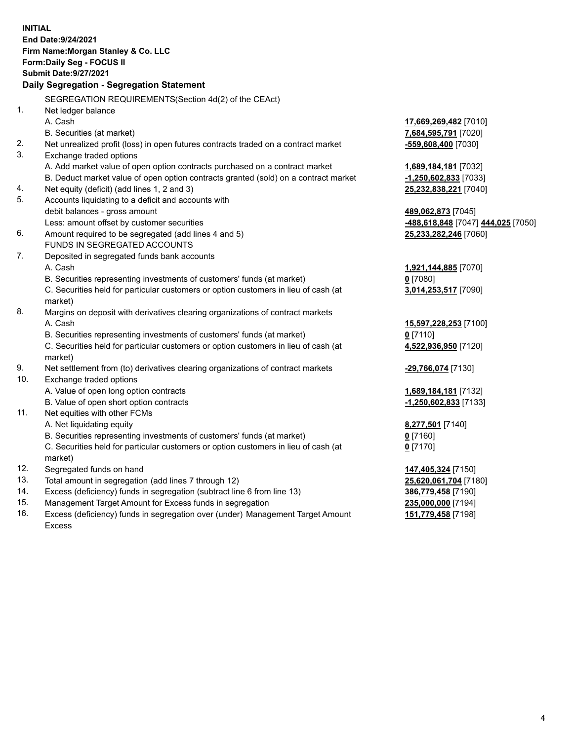**INITIAL End Date:9/24/2021 Firm Name:Morgan Stanley & Co. LLC Form:Daily Seg - FOCUS II Submit Date:9/27/2021 Daily Segregation - Segregation Statement** SEGREGATION REQUIREMENTS(Section 4d(2) of the CEAct) 1. Net ledger balance A. Cash **17,669,269,482** [7010] B. Securities (at market) **7,684,595,791** [7020] 2. Net unrealized profit (loss) in open futures contracts traded on a contract market **-559,608,400** [7030] 3. Exchange traded options A. Add market value of open option contracts purchased on a contract market **1,689,184,181** [7032] B. Deduct market value of open option contracts granted (sold) on a contract market **-1,250,602,833** [7033] 4. Net equity (deficit) (add lines 1, 2 and 3) **25,232,838,221** [7040] 5. Accounts liquidating to a deficit and accounts with debit balances - gross amount **489,062,873** [7045] Less: amount offset by customer securities **-488,618,848** [7047] **444,025** [7050] 6. Amount required to be segregated (add lines 4 and 5) **25,233,282,246** [7060] FUNDS IN SEGREGATED ACCOUNTS 7. Deposited in segregated funds bank accounts A. Cash **1,921,144,885** [7070] B. Securities representing investments of customers' funds (at market) **0** [7080] C. Securities held for particular customers or option customers in lieu of cash (at market) **3,014,253,517** [7090] 8. Margins on deposit with derivatives clearing organizations of contract markets A. Cash **15,597,228,253** [7100] B. Securities representing investments of customers' funds (at market) **0** [7110] C. Securities held for particular customers or option customers in lieu of cash (at market) **4,522,936,950** [7120] 9. Net settlement from (to) derivatives clearing organizations of contract markets **-29,766,074** [7130] 10. Exchange traded options A. Value of open long option contracts **1,689,184,181** [7132] B. Value of open short option contracts **-1,250,602,833** [7133] 11. Net equities with other FCMs A. Net liquidating equity **8,277,501** [7140] B. Securities representing investments of customers' funds (at market) **0** [7160] C. Securities held for particular customers or option customers in lieu of cash (at market) **0** [7170] 12. Segregated funds on hand **147,405,324** [7150] 13. Total amount in segregation (add lines 7 through 12) **25,620,061,704** [7180] 14. Excess (deficiency) funds in segregation (subtract line 6 from line 13) **386,779,458** [7190] 15. Management Target Amount for Excess funds in segregation **235,000,000** [7194] 16. Excess (deficiency) funds in segregation over (under) Management Target Amount **151,779,458** [7198]

Excess